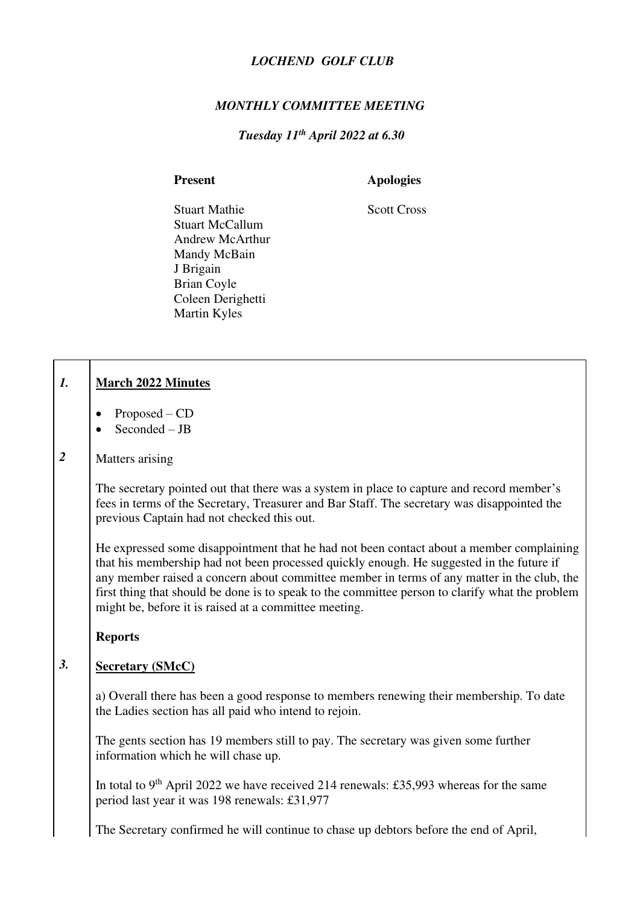# *LOCHEND GOLF CLUB*

## *MONTHLY COMMITTEE MEETING*

# *Tuesday 11th April 2022 at 6.30*

 $\sqrt{ }$ 

ヿ

Present **Apologies** 

Stuart MathieScott Cross Stuart McCallum Andrew McArthur Mandy McBain J Brigain Brian Coyle Coleen Derighetti Martin Kyles

| $\boldsymbol{l}$ . | <b>March 2022 Minutes</b>                                                                                                                                                                                                                                                                                                                                                                                                                      |
|--------------------|------------------------------------------------------------------------------------------------------------------------------------------------------------------------------------------------------------------------------------------------------------------------------------------------------------------------------------------------------------------------------------------------------------------------------------------------|
|                    | Proposed - CD<br>Seconded - JB                                                                                                                                                                                                                                                                                                                                                                                                                 |
| $\boldsymbol{2}$   | Matters arising                                                                                                                                                                                                                                                                                                                                                                                                                                |
|                    | The secretary pointed out that there was a system in place to capture and record member's<br>fees in terms of the Secretary, Treasurer and Bar Staff. The secretary was disappointed the<br>previous Captain had not checked this out.                                                                                                                                                                                                         |
|                    | He expressed some disappointment that he had not been contact about a member complaining<br>that his membership had not been processed quickly enough. He suggested in the future if<br>any member raised a concern about committee member in terms of any matter in the club, the<br>first thing that should be done is to speak to the committee person to clarify what the problem<br>might be, before it is raised at a committee meeting. |
|                    | <b>Reports</b>                                                                                                                                                                                                                                                                                                                                                                                                                                 |
| 3.                 | <b>Secretary (SMcC)</b>                                                                                                                                                                                                                                                                                                                                                                                                                        |
|                    | a) Overall there has been a good response to members renewing their membership. To date<br>the Ladies section has all paid who intend to rejoin.                                                                                                                                                                                                                                                                                               |
|                    | The gents section has 19 members still to pay. The secretary was given some further<br>information which he will chase up.                                                                                                                                                                                                                                                                                                                     |
|                    | In total to 9 <sup>th</sup> April 2022 we have received 214 renewals: £35,993 whereas for the same<br>period last year it was 198 renewals: £31,977                                                                                                                                                                                                                                                                                            |
|                    |                                                                                                                                                                                                                                                                                                                                                                                                                                                |
|                    | The Secretary confirmed he will continue to chase up debtors before the end of April,                                                                                                                                                                                                                                                                                                                                                          |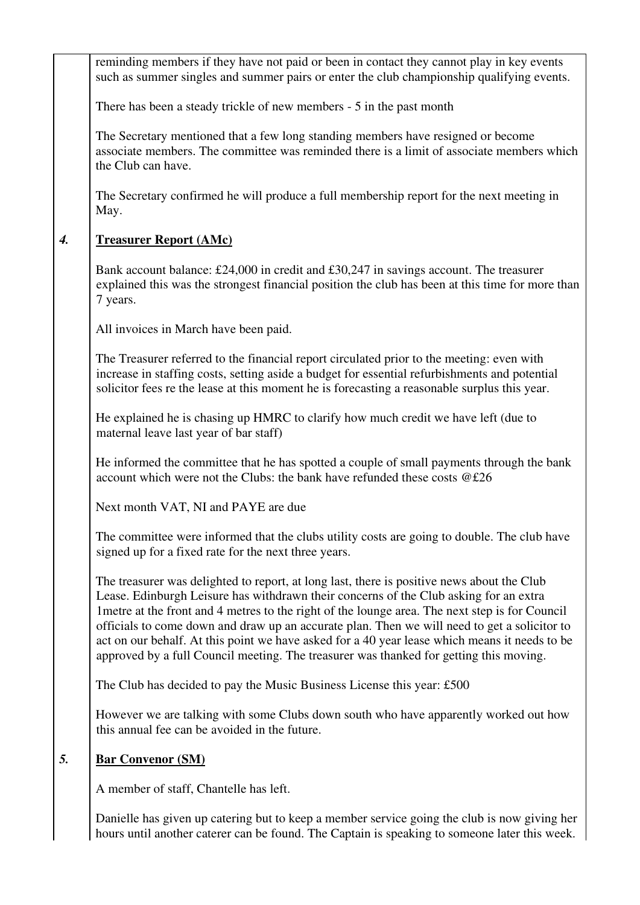reminding members if they have not paid or been in contact they cannot play in key events such as summer singles and summer pairs or enter the club championship qualifying events.

There has been a steady trickle of new members - 5 in the past month

The Secretary mentioned that a few long standing members have resigned or become associate members. The committee was reminded there is a limit of associate members which the Club can have.

The Secretary confirmed he will produce a full membership report for the next meeting in May.

### *4.*  **Treasurer Report (AMc)**

Bank account balance: £24,000 in credit and £30,247 in savings account. The treasurer explained this was the strongest financial position the club has been at this time for more than 7 years.

All invoices in March have been paid.

The Treasurer referred to the financial report circulated prior to the meeting: even with increase in staffing costs, setting aside a budget for essential refurbishments and potential solicitor fees re the lease at this moment he is forecasting a reasonable surplus this year.

He explained he is chasing up HMRC to clarify how much credit we have left (due to maternal leave last year of bar staff)

He informed the committee that he has spotted a couple of small payments through the bank account which were not the Clubs: the bank have refunded these costs @£26

Next month VAT, NI and PAYE are due

The committee were informed that the clubs utility costs are going to double. The club have signed up for a fixed rate for the next three years.

The treasurer was delighted to report, at long last, there is positive news about the Club Lease. Edinburgh Leisure has withdrawn their concerns of the Club asking for an extra 1metre at the front and 4 metres to the right of the lounge area. The next step is for Council officials to come down and draw up an accurate plan. Then we will need to get a solicitor to act on our behalf. At this point we have asked for a 40 year lease which means it needs to be approved by a full Council meeting. The treasurer was thanked for getting this moving.

The Club has decided to pay the Music Business License this year: £500

However we are talking with some Clubs down south who have apparently worked out how this annual fee can be avoided in the future.

### *5.*  **Bar Convenor (SM)**

A member of staff, Chantelle has left.

Danielle has given up catering but to keep a member service going the club is now giving her hours until another caterer can be found. The Captain is speaking to someone later this week.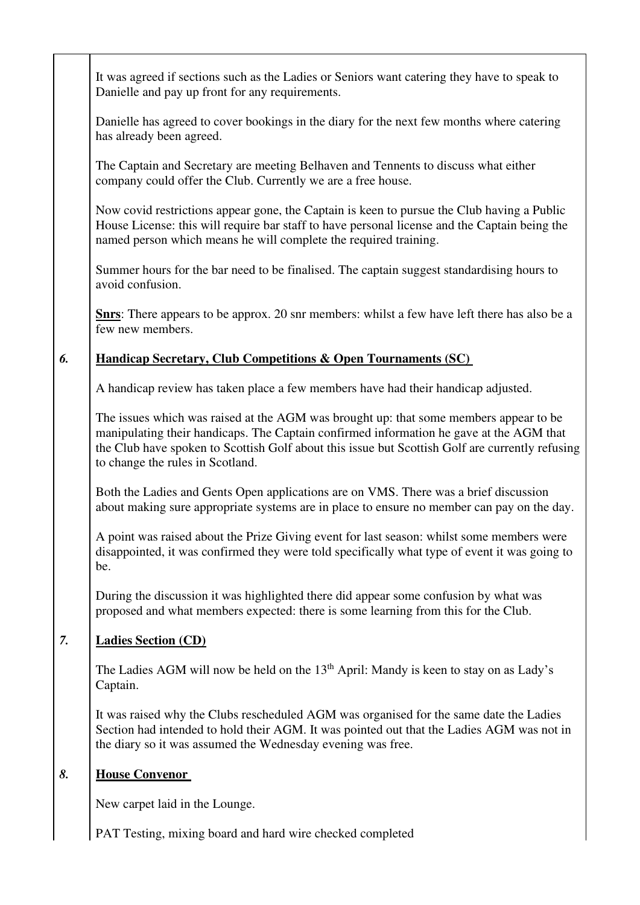| It was agreed if sections such as the Ladies or Seniors want catering they have to speak to                                                                                                                                                                                                                             |  |
|-------------------------------------------------------------------------------------------------------------------------------------------------------------------------------------------------------------------------------------------------------------------------------------------------------------------------|--|
| Danielle and pay up front for any requirements.                                                                                                                                                                                                                                                                         |  |
| Danielle has agreed to cover bookings in the diary for the next few months where catering<br>has already been agreed.                                                                                                                                                                                                   |  |
| The Captain and Secretary are meeting Belhaven and Tennents to discuss what either<br>company could offer the Club. Currently we are a free house.                                                                                                                                                                      |  |
| Now covid restrictions appear gone, the Captain is keen to pursue the Club having a Public<br>House License: this will require bar staff to have personal license and the Captain being the<br>named person which means he will complete the required training.                                                         |  |
| Summer hours for the bar need to be finalised. The captain suggest standardising hours to<br>avoid confusion.                                                                                                                                                                                                           |  |
| <b>Shrs:</b> There appears to be approx. 20 snr members: whilst a few have left there has also be a<br>few new members.                                                                                                                                                                                                 |  |
| 6.<br><b>Handicap Secretary, Club Competitions &amp; Open Tournaments (SC)</b>                                                                                                                                                                                                                                          |  |
| A handicap review has taken place a few members have had their handicap adjusted.                                                                                                                                                                                                                                       |  |
| The issues which was raised at the AGM was brought up: that some members appear to be<br>manipulating their handicaps. The Captain confirmed information he gave at the AGM that<br>the Club have spoken to Scottish Golf about this issue but Scottish Golf are currently refusing<br>to change the rules in Scotland. |  |
| Both the Ladies and Gents Open applications are on VMS. There was a brief discussion<br>about making sure appropriate systems are in place to ensure no member can pay on the day.                                                                                                                                      |  |
| A point was raised about the Prize Giving event for last season: whilst some members were<br>disappointed, it was confirmed they were told specifically what type of event it was going to<br>be.                                                                                                                       |  |
| During the discussion it was highlighted there did appear some confusion by what was<br>proposed and what members expected: there is some learning from this for the Club.                                                                                                                                              |  |
| 7.<br><b>Ladies Section (CD)</b>                                                                                                                                                                                                                                                                                        |  |
| The Ladies AGM will now be held on the $13th$ April: Mandy is keen to stay on as Lady's<br>Captain.                                                                                                                                                                                                                     |  |
| It was raised why the Clubs rescheduled AGM was organised for the same date the Ladies<br>Section had intended to hold their AGM. It was pointed out that the Ladies AGM was not in<br>the diary so it was assumed the Wednesday evening was free.                                                                      |  |
| 8.<br><b>House Convenor</b>                                                                                                                                                                                                                                                                                             |  |
| New carpet laid in the Lounge.                                                                                                                                                                                                                                                                                          |  |
| PAT Testing, mixing board and hard wire checked completed                                                                                                                                                                                                                                                               |  |